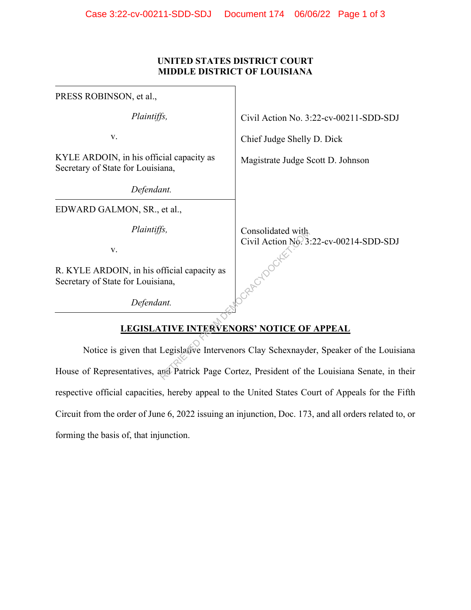## **UNITED STATES DISTRICT COURT MIDDLE DISTRICT OF LOUISIANA**

| PRESS ROBINSON, et al.,                                                                      |                                        |
|----------------------------------------------------------------------------------------------|----------------------------------------|
| Plaintiffs,                                                                                  | Civil Action No. 3:22-cv-00211-SDD-SDJ |
| V.                                                                                           | Chief Judge Shelly D. Dick             |
| KYLE ARDOIN, in his official capacity as<br>Secretary of State for Louisiana,                | Magistrate Judge Scott D. Johnson      |
| Defendant.                                                                                   |                                        |
| EDWARD GALMON, SR., et al.,                                                                  |                                        |
| Plaintiffs,                                                                                  | Consolidated with                      |
| V.                                                                                           | Civil Action No. 3:22-cv-00214-SDD-SDJ |
| R. KYLE ARDOIN, in his official capacity as<br>Secretary of State for Louisiana,             |                                        |
| Defendant.                                                                                   |                                        |
| <b>LEGISLATIVE INTERVENORS' NOTICE OF APPEAL</b>                                             |                                        |
| Notice is given that Legislative Intervenors Clay Schexnayder, Speaker of the Louisia        |                                        |
| House of Representatives, and Patrick Page Cortez, President of the Louisiana Senate, in the |                                        |

## **LEGISLATIVE INTERVENORS' NOTICE OF APPEAL**

Notice is given that Legislative Intervenors Clay Schexnayder, Speaker of the Louisiana House of Representatives, and Patrick Page Cortez, President of the Louisiana Senate, in their respective official capacities, hereby appeal to the United States Court of Appeals for the Fifth Circuit from the order of June 6, 2022 issuing an injunction, Doc. 173, and all orders related to, or forming the basis of, that injunction.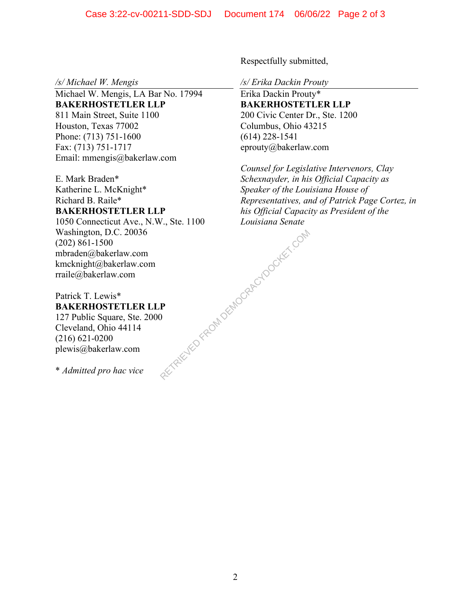*/s/ Michael W. Mengis* 

Michael W. Mengis, LA Bar No. 17994 **BAKERHOSTETLER LLP**  811 Main Street, Suite 1100 Houston, Texas 77002 Phone: (713) 751-1600 Fax: (713) 751-1717 Email: mmengis@bakerlaw.com

E. Mark Braden\* Katherine L. McKnight\* Richard B. Raile\* **BAKERHOSTETLER LLP**  1050 Connecticut Ave., N.W., Ste. 1100

Washington, D.C. 20036 (202) 861-1500 mbraden@bakerlaw.com kmcknight@bakerlaw.com rraile@bakerlaw.com RETRIEVED FROM DEMOCRACYDOCKET.COM

Patrick T. Lewis\* **BAKERHOSTETLER LLP**  127 Public Square, Ste. 2000 Cleveland, Ohio 44114 (216) 621-0200 plewis@bakerlaw.com

\* *Admitted pro hac vice* 

Respectfully submitted,

*/s/ Erika Dackin Prouty* 

Erika Dackin Prouty\* **BAKERHOSTETLER LLP**  200 Civic Center Dr., Ste. 1200 Columbus, Ohio 43215 (614) 228-1541 eprouty@bakerlaw.com

*Counsel for Legislative Intervenors, Clay Schexnayder, in his Official Capacity as Speaker of the Louisiana House of Representatives, and of Patrick Page Cortez, in his Official Capacity as President of the Louisiana Senate*